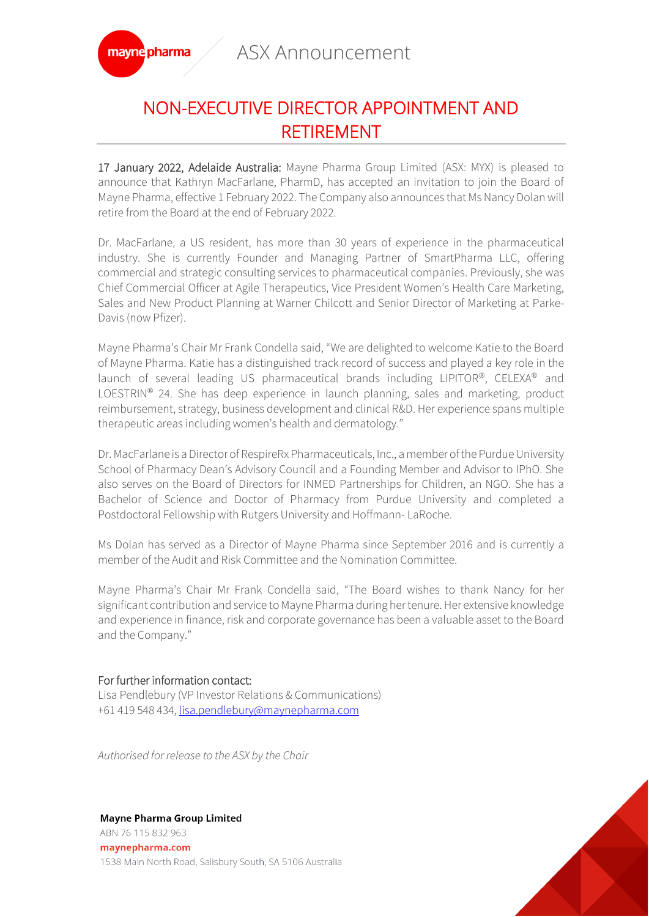ASX Announcement



## NON-EXECUTIVE DIRECTOR APPOINTMENT AND RETIREMENT

17 January 2022, Adelaide Australia: Mayne Pharma Group Limited (ASX: MYX) is pleased to announce that Kathryn MacFarlane, PharmD, has accepted an invitation to join the Board of Mayne Pharma, effective 1 February 2022. The Company also announces that Ms Nancy Dolan will retire from the Board at the end of February 2022.

Dr. MacFarlane, a US resident, has more than 30 years of experience in the pharmaceutical industry. She is currently Founder and Managing Partner of SmartPharma LLC, offering commercial and strategic consulting services to pharmaceutical companies. Previously, she was Chief Commercial Officer at Agile Therapeutics, Vice President Women's Health Care Marketing, Sales and New Product Planning at Warner Chilcott and Senior Director of Marketing at Parke-Davis (now Pfizer).

Mayne Pharma's Chair Mr Frank Condella said, "We are delighted to welcome Katie to the Board of Mayne Pharma. Katie has a distinguished track record of success and played a key role in the launch of several leading US pharmaceutical brands including LIPITOR®, CELEXA® and LOESTRIN<sup>®</sup> 24. She has deep experience in launch planning, sales and marketing, product reimbursement, strategy, business development and clinical R&D. Her experience spans multiple therapeutic areas including women's health and dermatology."

Dr. MacFarlane is a Director of RespireRx Pharmaceuticals, Inc., a member of the Purdue University School of Pharmacy Dean's Advisory Council and a Founding Member and Advisor to IPhO. She also serves on the Board of Directors for INMED Partnerships for Children, an NGO. She has a Bachelor of Science and Doctor of Pharmacy from Purdue University and completed a Postdoctoral Fellowship with Rutgers University and Hoffmann- LaRoche.

Ms Dolan has served as a Director of Mayne Pharma since September 2016 and is currently a member of the Audit and Risk Committee and the Nomination Committee.

Mayne Pharma's Chair Mr Frank Condella said, "The Board wishes to thank Nancy for her significant contribution and service to Mayne Pharma during her tenure. Her extensive knowledge and experience in finance, risk and corporate governance has been a valuable asset to the Board and the Company."

## For further information contact:

Lisa Pendlebury (VP Investor Relations & Communications) +61 419 548 434[, lisa.pendlebury@maynepharma.com](mailto:lisa.pendlebury@maynepharma.com)

*Authorised for release to the ASX by the Chair*

## **Mayne Pharma Group Limited**

ABN 76 115 832 963 maynepharma.com 1538 Main North Road, Salisbury South, SA 5106 Australia